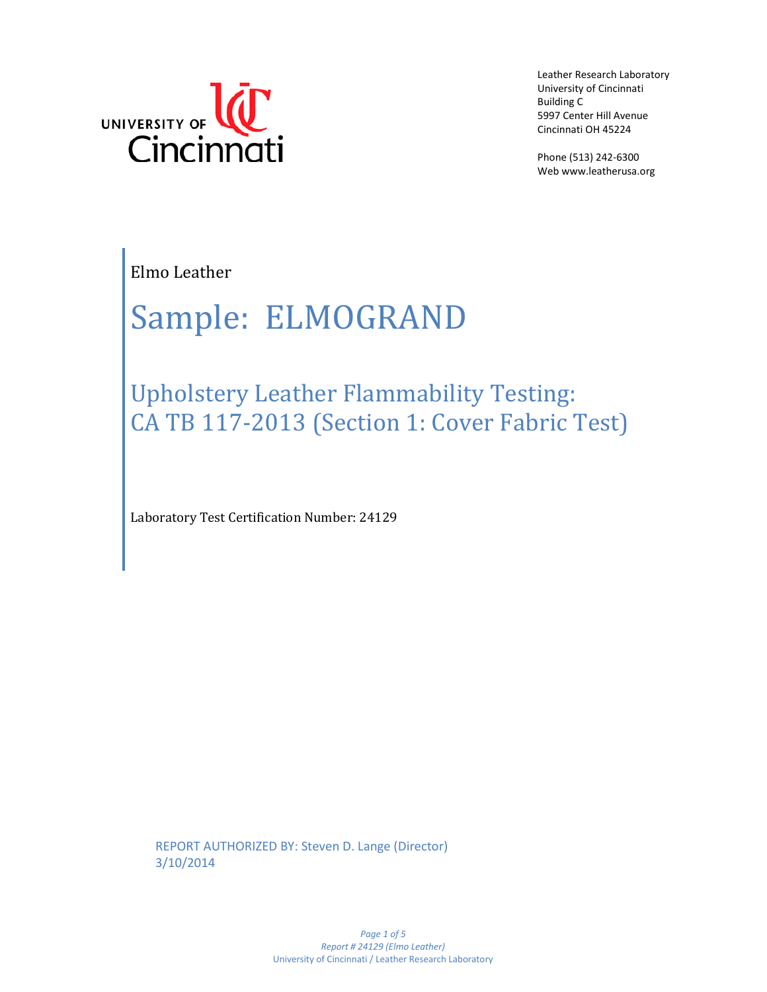

Leather Research Laboratory University of Cincinnati Building C 5997 Center Hill Avenue Cincinnati OH 45224

Phone (513) 242-6300 Web www.leatherusa.org

Elmo Leather

# Sample: ELMOGRAND

Upholstery Leather Flammability Testing: CA TB 117-2013 (Section 1: Cover Fabric Test)

Laboratory Test Certification Number: 24129

REPORT AUTHORIZED BY: Steven D. Lange (Director) 3/10/2014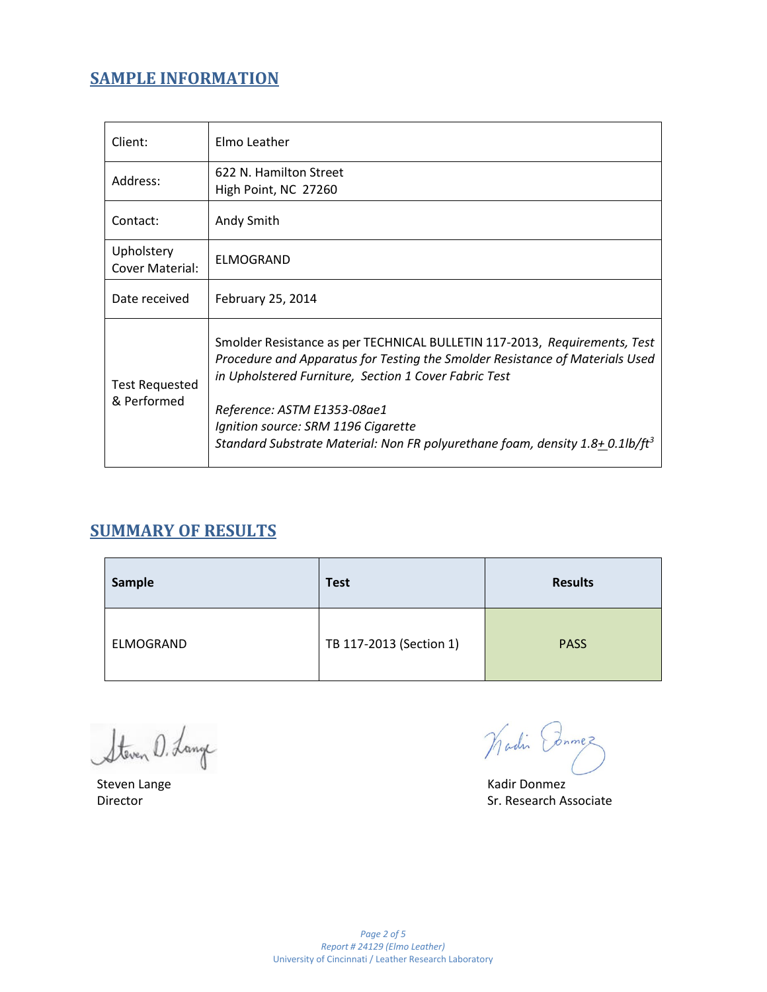# **SAMPLE INFORMATION**

| Client:                              | Elmo Leather                                                                                                                                                                                                                                                                                                                                                                          |
|--------------------------------------|---------------------------------------------------------------------------------------------------------------------------------------------------------------------------------------------------------------------------------------------------------------------------------------------------------------------------------------------------------------------------------------|
| Address:                             | 622 N. Hamilton Street<br>High Point, NC 27260                                                                                                                                                                                                                                                                                                                                        |
| Contact:                             | Andy Smith                                                                                                                                                                                                                                                                                                                                                                            |
| Upholstery<br>Cover Material:        | <b>ELMOGRAND</b>                                                                                                                                                                                                                                                                                                                                                                      |
| Date received                        | February 25, 2014                                                                                                                                                                                                                                                                                                                                                                     |
| <b>Test Requested</b><br>& Performed | Smolder Resistance as per TECHNICAL BULLETIN 117-2013, Requirements, Test<br>Procedure and Apparatus for Testing the Smolder Resistance of Materials Used<br>in Upholstered Furniture, Section 1 Cover Fabric Test<br>Reference: ASTM E1353-08ae1<br>Ignition source: SRM 1196 Cigarette<br>Standard Substrate Material: Non FR polyurethane foam, density 1.8+ 0.1lb/ft <sup>3</sup> |

# **SUMMARY OF RESULTS**

| Sample    | <b>Test</b>             | <b>Results</b> |
|-----------|-------------------------|----------------|
| ELMOGRAND | TB 117-2013 (Section 1) | <b>PASS</b>    |

Steven D. Lange

Wadin Ednmez

Steven Lange Kadir Donmez Director Sr. Research Associate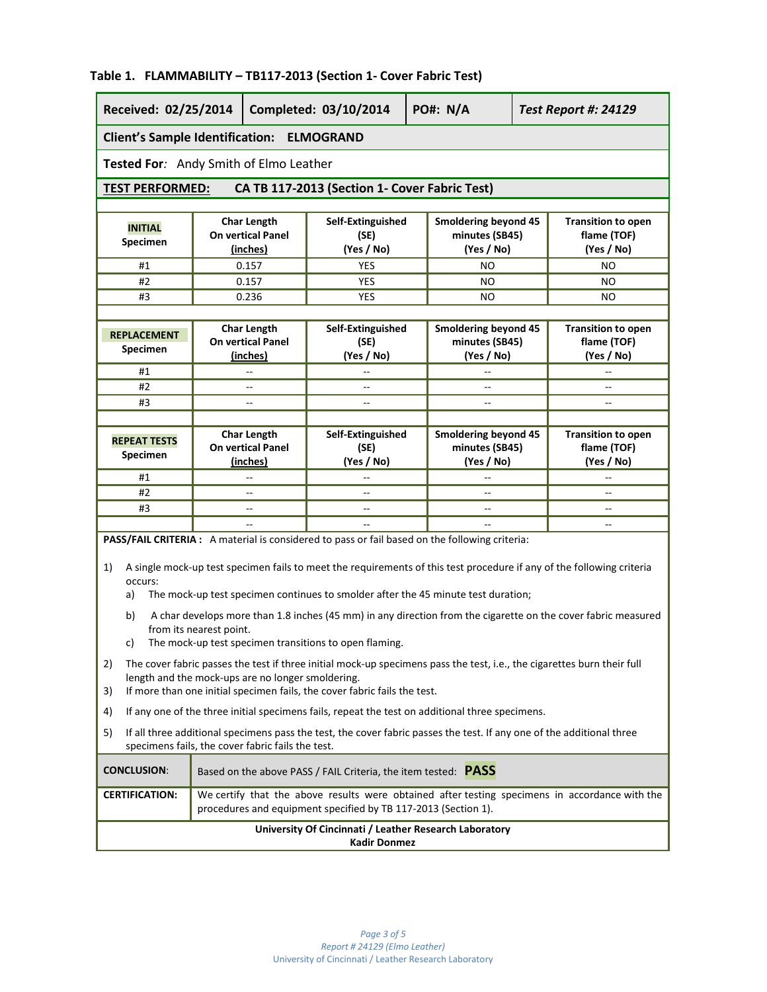#### **Received: 02/25/2014 Completed: 03/10/2014 PO#: N/A** *Test Report #: 24129* **Client's Sample Identification: ELMOGRAND Tested For***:* Andy Smith of Elmo Leather **TEST PERFORMED: CA TB 117-2013 (Section 1- Cover Fabric Test) INITIAL Specimen Char Length On vertical Panel (inches) Self-Extinguished (SE) (Yes / No) Smoldering beyond 45 minutes (SB45) (Yes / No) Transition to open flame (TOF) (Yes / No)** #1 0.157 YES NO NO #2 0.157 YES NO NO #3 0.236 YES NO NO **REPLACEMENT Specimen Char Length On vertical Panel (inches) Self-Extinguished (SE) (Yes / No) Smoldering beyond 45 minutes (SB45) (Yes / No) Transition to open flame (TOF) (Yes / No)** #1 | -- | -- | -- | -- | --#2 | -- | -- | -- | -- | --#3 -- -- -- -- **REPEAT TESTS Specimen Char Length On vertical Panel (inches) Self-Extinguished (SE) (Yes / No) Smoldering beyond 45 minutes (SB45) (Yes / No) Transition to open flame (TOF) (Yes / No)** #1 | -- | -- | -- | -- | --#2 | -- | -- | -- | -- | --#3 -- -- -- -- -- -- -- -- **PASS/FAIL CRITERIA :** A material is considered to pass or fail based on the following criteria: 1) A single mock-up test specimen fails to meet the requirements of this test procedure if any of the following criteria occurs: a) The mock-up test specimen continues to smolder after the 45 minute test duration; b) A char develops more than 1.8 inches (45 mm) in any direction from the cigarette on the cover fabric measured from its nearest point. c) The mock-up test specimen transitions to open flaming. 2) The cover fabric passes the test if three initial mock-up specimens pass the test, i.e., the cigarettes burn their full length and the mock-ups are no longer smoldering. 3) If more than one initial specimen fails, the cover fabric fails the test. 4) If any one of the three initial specimens fails, repeat the test on additional three specimens. 5) If all three additional specimens pass the test, the cover fabric passes the test. If any one of the additional three specimens fails, the cover fabric fails the test. **CONCLUSION**: Based on the above PASS / FAIL Criteria, the item tested: **PASS CERTIFICATION:** We certify that the above results were obtained after testing specimens in accordance with the procedures and equipment specified by TB 117-2013 (Section 1). **University Of Cincinnati / Leather Research Laboratory Kadir Donmez**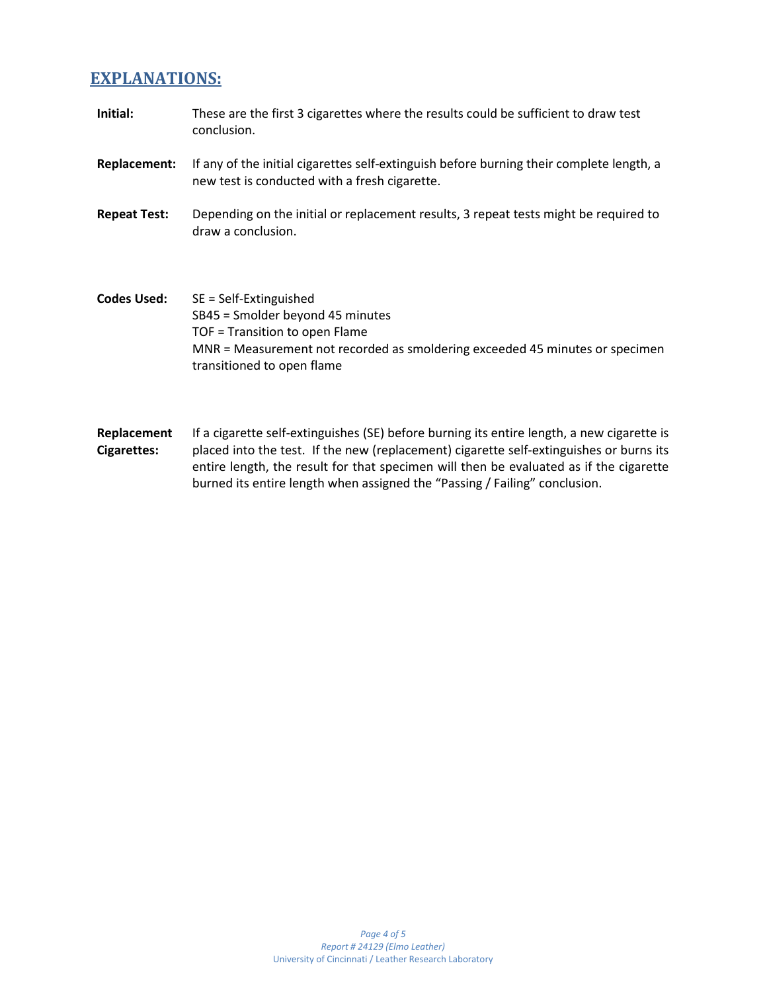## **EXPLANATIONS:**

- **Initial:** These are the first 3 cigarettes where the results could be sufficient to draw test conclusion.
- **Replacement:** If any of the initial cigarettes self-extinguish before burning their complete length, a new test is conducted with a fresh cigarette.
- **Repeat Test:** Depending on the initial or replacement results, 3 repeat tests might be required to draw a conclusion.
- **Codes Used:** SE = Self-Extinguished SB45 = Smolder beyond 45 minutes TOF = Transition to open Flame MNR = Measurement not recorded as smoldering exceeded 45 minutes or specimen transitioned to open flame
- **Replacement Cigarettes:** If a cigarette self-extinguishes (SE) before burning its entire length, a new cigarette is placed into the test. If the new (replacement) cigarette self-extinguishes or burns its entire length, the result for that specimen will then be evaluated as if the cigarette burned its entire length when assigned the "Passing / Failing" conclusion.